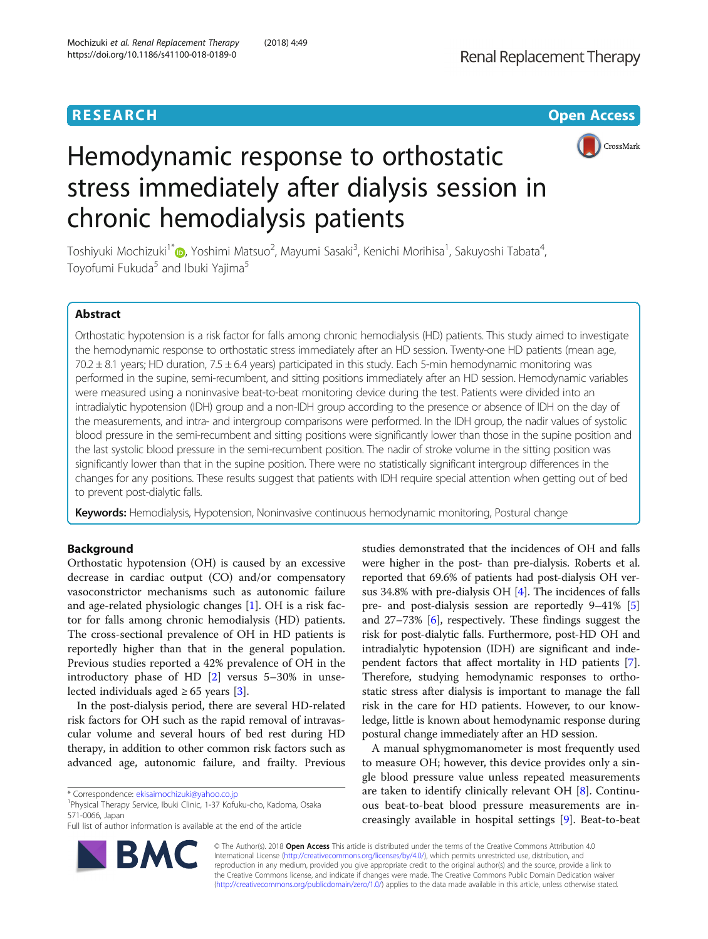## **RESEARCH CHE Open Access**



# Hemodynamic response to orthostatic stress immediately after dialysis session in chronic hemodialysis patients

Toshiyuki Mochizuki<sup>1\*</sup>�[,](http://orcid.org/0000-0002-7095-047X) Yoshimi Matsuo<sup>2</sup>, Mayumi Sasaki<sup>3</sup>, Kenichi Morihisa<sup>1</sup>, Sakuyoshi Tabata<sup>4</sup> , Toyofumi Fukuda<sup>5</sup> and Ibuki Yajima<sup>5</sup>

## Abstract

Orthostatic hypotension is a risk factor for falls among chronic hemodialysis (HD) patients. This study aimed to investigate the hemodynamic response to orthostatic stress immediately after an HD session. Twenty-one HD patients (mean age,  $70.2 \pm 8.1$  years; HD duration,  $7.5 \pm 6.4$  years) participated in this study. Each 5-min hemodynamic monitoring was performed in the supine, semi-recumbent, and sitting positions immediately after an HD session. Hemodynamic variables were measured using a noninvasive beat-to-beat monitoring device during the test. Patients were divided into an intradialytic hypotension (IDH) group and a non-IDH group according to the presence or absence of IDH on the day of the measurements, and intra- and intergroup comparisons were performed. In the IDH group, the nadir values of systolic blood pressure in the semi-recumbent and sitting positions were significantly lower than those in the supine position and the last systolic blood pressure in the semi-recumbent position. The nadir of stroke volume in the sitting position was significantly lower than that in the supine position. There were no statistically significant intergroup differences in the changes for any positions. These results suggest that patients with IDH require special attention when getting out of bed to prevent post-dialytic falls.

Keywords: Hemodialysis, Hypotension, Noninvasive continuous hemodynamic monitoring, Postural change

## Background

Orthostatic hypotension (OH) is caused by an excessive decrease in cardiac output (CO) and/or compensatory vasoconstrictor mechanisms such as autonomic failure and age-related physiologic changes [[1\]](#page-5-0). OH is a risk factor for falls among chronic hemodialysis (HD) patients. The cross-sectional prevalence of OH in HD patients is reportedly higher than that in the general population. Previous studies reported a 42% prevalence of OH in the introductory phase of HD [\[2\]](#page-5-0) versus 5–30% in unselected individuals aged  $\geq 65$  years [\[3](#page-5-0)].

In the post-dialysis period, there are several HD-related risk factors for OH such as the rapid removal of intravascular volume and several hours of bed rest during HD therapy, in addition to other common risk factors such as advanced age, autonomic failure, and frailty. Previous

BA

<sup>1</sup>Physical Therapy Service, Ibuki Clinic, 1-37 Kofuku-cho, Kadoma, Osaka 571-0066, Japan



A manual sphygmomanometer is most frequently used to measure OH; however, this device provides only a single blood pressure value unless repeated measurements are taken to identify clinically relevant OH [[8\]](#page-5-0). Continuous beat-to-beat blood pressure measurements are increasingly available in hospital settings [\[9](#page-5-0)]. Beat-to-beat



<sup>\*</sup> Correspondence: [ekisaimochizuki@yahoo.co.jp](mailto:ekisaimochizuki@yahoo.co.jp) <sup>1</sup>

Full list of author information is available at the end of the article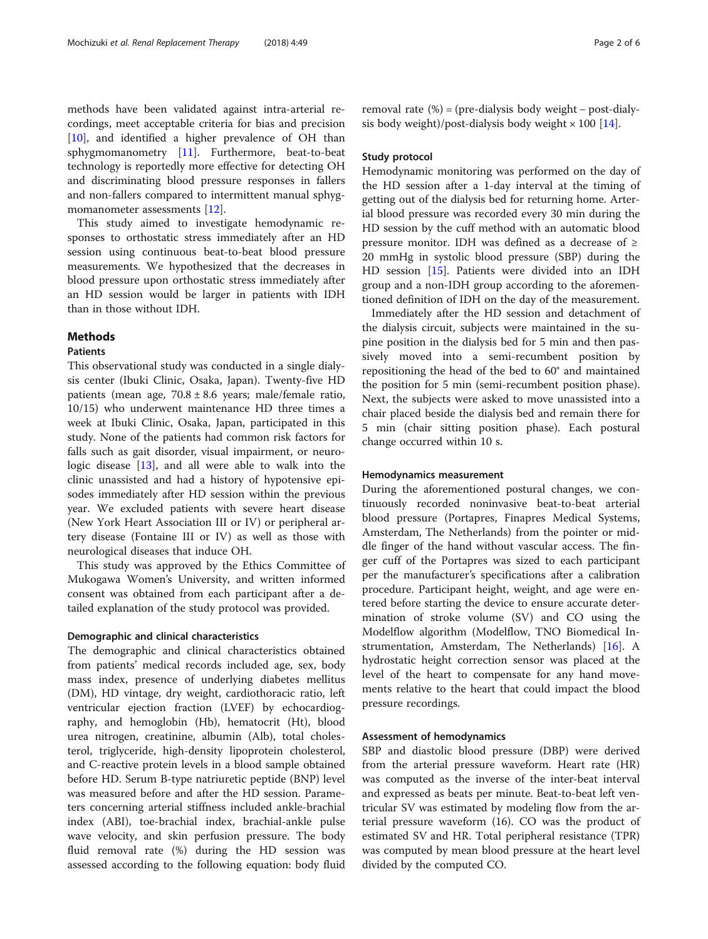methods have been validated against intra-arterial recordings, meet acceptable criteria for bias and precision [[10\]](#page-5-0), and identified a higher prevalence of OH than sphygmomanometry [[11\]](#page-5-0). Furthermore, beat-to-beat technology is reportedly more effective for detecting OH and discriminating blood pressure responses in fallers and non-fallers compared to intermittent manual sphyg-momanometer assessments [\[12\]](#page-5-0).

This study aimed to investigate hemodynamic responses to orthostatic stress immediately after an HD session using continuous beat-to-beat blood pressure measurements. We hypothesized that the decreases in blood pressure upon orthostatic stress immediately after an HD session would be larger in patients with IDH than in those without IDH.

## **Methods**

## Patients

This observational study was conducted in a single dialysis center (Ibuki Clinic, Osaka, Japan). Twenty-five HD patients (mean age,  $70.8 \pm 8.6$  years; male/female ratio, 10/15) who underwent maintenance HD three times a week at Ibuki Clinic, Osaka, Japan, participated in this study. None of the patients had common risk factors for falls such as gait disorder, visual impairment, or neurologic disease [\[13\]](#page-5-0), and all were able to walk into the clinic unassisted and had a history of hypotensive episodes immediately after HD session within the previous year. We excluded patients with severe heart disease (New York Heart Association III or IV) or peripheral artery disease (Fontaine III or IV) as well as those with neurological diseases that induce OH.

This study was approved by the Ethics Committee of Mukogawa Women's University, and written informed consent was obtained from each participant after a detailed explanation of the study protocol was provided.

## Demographic and clinical characteristics

The demographic and clinical characteristics obtained from patients' medical records included age, sex, body mass index, presence of underlying diabetes mellitus (DM), HD vintage, dry weight, cardiothoracic ratio, left ventricular ejection fraction (LVEF) by echocardiography, and hemoglobin (Hb), hematocrit (Ht), blood urea nitrogen, creatinine, albumin (Alb), total cholesterol, triglyceride, high-density lipoprotein cholesterol, and C-reactive protein levels in a blood sample obtained before HD. Serum B-type natriuretic peptide (BNP) level was measured before and after the HD session. Parameters concerning arterial stiffness included ankle-brachial index (ABI), toe-brachial index, brachial-ankle pulse wave velocity, and skin perfusion pressure. The body fluid removal rate (%) during the HD session was assessed according to the following equation: body fluid

removal rate (%) = (pre-dialysis body weight − post-dialysis body weight)/post-dialysis body weight  $\times$  100 [\[14](#page-5-0)].

## Study protocol

Hemodynamic monitoring was performed on the day of the HD session after a 1-day interval at the timing of getting out of the dialysis bed for returning home. Arterial blood pressure was recorded every 30 min during the HD session by the cuff method with an automatic blood pressure monitor. IDH was defined as a decrease of ≥ 20 mmHg in systolic blood pressure (SBP) during the HD session [\[15\]](#page-5-0). Patients were divided into an IDH group and a non-IDH group according to the aforementioned definition of IDH on the day of the measurement.

Immediately after the HD session and detachment of the dialysis circuit, subjects were maintained in the supine position in the dialysis bed for 5 min and then passively moved into a semi-recumbent position by repositioning the head of the bed to 60° and maintained the position for 5 min (semi-recumbent position phase). Next, the subjects were asked to move unassisted into a chair placed beside the dialysis bed and remain there for 5 min (chair sitting position phase). Each postural change occurred within 10 s.

## Hemodynamics measurement

During the aforementioned postural changes, we continuously recorded noninvasive beat-to-beat arterial blood pressure (Portapres, Finapres Medical Systems, Amsterdam, The Netherlands) from the pointer or middle finger of the hand without vascular access. The finger cuff of the Portapres was sized to each participant per the manufacturer's specifications after a calibration procedure. Participant height, weight, and age were entered before starting the device to ensure accurate determination of stroke volume (SV) and CO using the Modelflow algorithm (Modelflow, TNO Biomedical Instrumentation, Amsterdam, The Netherlands) [[16](#page-5-0)]. A hydrostatic height correction sensor was placed at the level of the heart to compensate for any hand movements relative to the heart that could impact the blood pressure recordings.

## Assessment of hemodynamics

SBP and diastolic blood pressure (DBP) were derived from the arterial pressure waveform. Heart rate (HR) was computed as the inverse of the inter-beat interval and expressed as beats per minute. Beat-to-beat left ventricular SV was estimated by modeling flow from the arterial pressure waveform (16). CO was the product of estimated SV and HR. Total peripheral resistance (TPR) was computed by mean blood pressure at the heart level divided by the computed CO.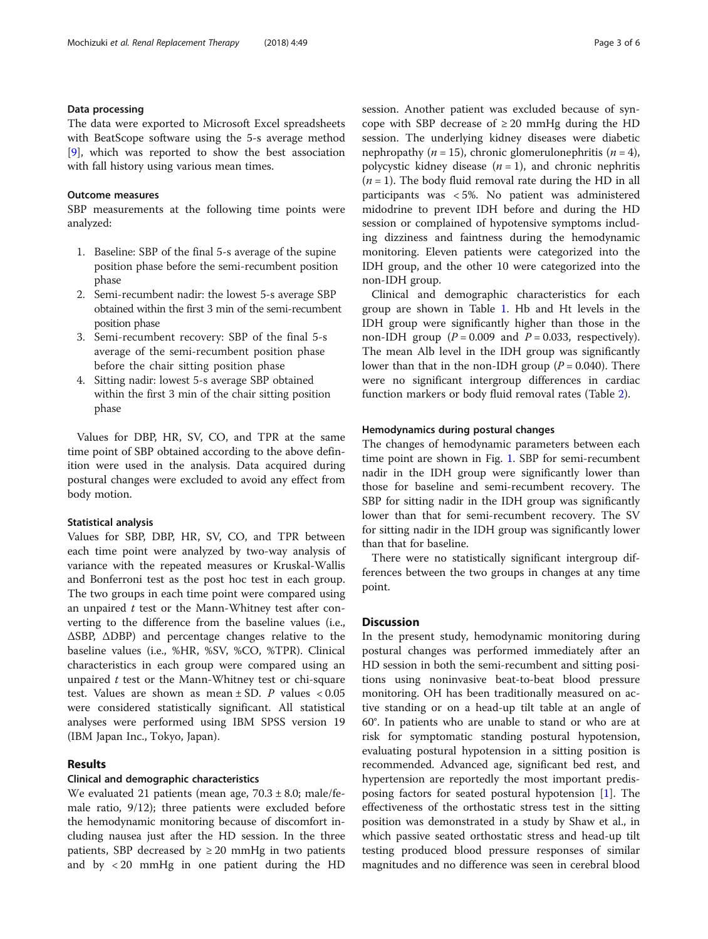## Data processing

The data were exported to Microsoft Excel spreadsheets with BeatScope software using the 5-s average method [[9\]](#page-5-0), which was reported to show the best association with fall history using various mean times.

## Outcome measures

SBP measurements at the following time points were analyzed:

- 1. Baseline: SBP of the final 5-s average of the supine position phase before the semi-recumbent position phase
- 2. Semi-recumbent nadir: the lowest 5-s average SBP obtained within the first 3 min of the semi-recumbent position phase
- 3. Semi-recumbent recovery: SBP of the final 5-s average of the semi-recumbent position phase before the chair sitting position phase
- 4. Sitting nadir: lowest 5-s average SBP obtained within the first 3 min of the chair sitting position phase

Values for DBP, HR, SV, CO, and TPR at the same time point of SBP obtained according to the above definition were used in the analysis. Data acquired during postural changes were excluded to avoid any effect from body motion.

## Statistical analysis

Values for SBP, DBP, HR, SV, CO, and TPR between each time point were analyzed by two-way analysis of variance with the repeated measures or Kruskal-Wallis and Bonferroni test as the post hoc test in each group. The two groups in each time point were compared using an unpaired  $t$  test or the Mann-Whitney test after converting to the difference from the baseline values (i.e., ΔSBP, ΔDBP) and percentage changes relative to the baseline values (i.e., %HR, %SV, %CO, %TPR). Clinical characteristics in each group were compared using an unpaired  $t$  test or the Mann-Whitney test or chi-square test. Values are shown as mean ± SD. P values < 0.05 were considered statistically significant. All statistical analyses were performed using IBM SPSS version 19 (IBM Japan Inc., Tokyo, Japan).

## Results

## Clinical and demographic characteristics

We evaluated 21 patients (mean age,  $70.3 \pm 8.0$ ; male/female ratio, 9/12); three patients were excluded before the hemodynamic monitoring because of discomfort including nausea just after the HD session. In the three patients, SBP decreased by  $\geq$  20 mmHg in two patients and by < 20 mmHg in one patient during the HD session. Another patient was excluded because of syncope with SBP decrease of  $\geq 20$  mmHg during the HD session. The underlying kidney diseases were diabetic nephropathy ( $n = 15$ ), chronic glomerulonephritis ( $n = 4$ ), polycystic kidney disease  $(n = 1)$ , and chronic nephritis  $(n = 1)$ . The body fluid removal rate during the HD in all participants was < 5%. No patient was administered midodrine to prevent IDH before and during the HD session or complained of hypotensive symptoms including dizziness and faintness during the hemodynamic monitoring. Eleven patients were categorized into the IDH group, and the other 10 were categorized into the non-IDH group.

Clinical and demographic characteristics for each group are shown in Table [1](#page-3-0). Hb and Ht levels in the IDH group were significantly higher than those in the non-IDH group ( $P = 0.009$  and  $P = 0.033$ , respectively). The mean Alb level in the IDH group was significantly lower than that in the non-IDH group  $(P = 0.040)$ . There were no significant intergroup differences in cardiac function markers or body fluid removal rates (Table [2](#page-3-0)).

## Hemodynamics during postural changes

The changes of hemodynamic parameters between each time point are shown in Fig. [1](#page-4-0). SBP for semi-recumbent nadir in the IDH group were significantly lower than those for baseline and semi-recumbent recovery. The SBP for sitting nadir in the IDH group was significantly lower than that for semi-recumbent recovery. The SV for sitting nadir in the IDH group was significantly lower than that for baseline.

There were no statistically significant intergroup differences between the two groups in changes at any time point.

## **Discussion**

In the present study, hemodynamic monitoring during postural changes was performed immediately after an HD session in both the semi-recumbent and sitting positions using noninvasive beat-to-beat blood pressure monitoring. OH has been traditionally measured on active standing or on a head-up tilt table at an angle of 60°. In patients who are unable to stand or who are at risk for symptomatic standing postural hypotension, evaluating postural hypotension in a sitting position is recommended. Advanced age, significant bed rest, and hypertension are reportedly the most important predisposing factors for seated postural hypotension [[1\]](#page-5-0). The effectiveness of the orthostatic stress test in the sitting position was demonstrated in a study by Shaw et al., in which passive seated orthostatic stress and head-up tilt testing produced blood pressure responses of similar magnitudes and no difference was seen in cerebral blood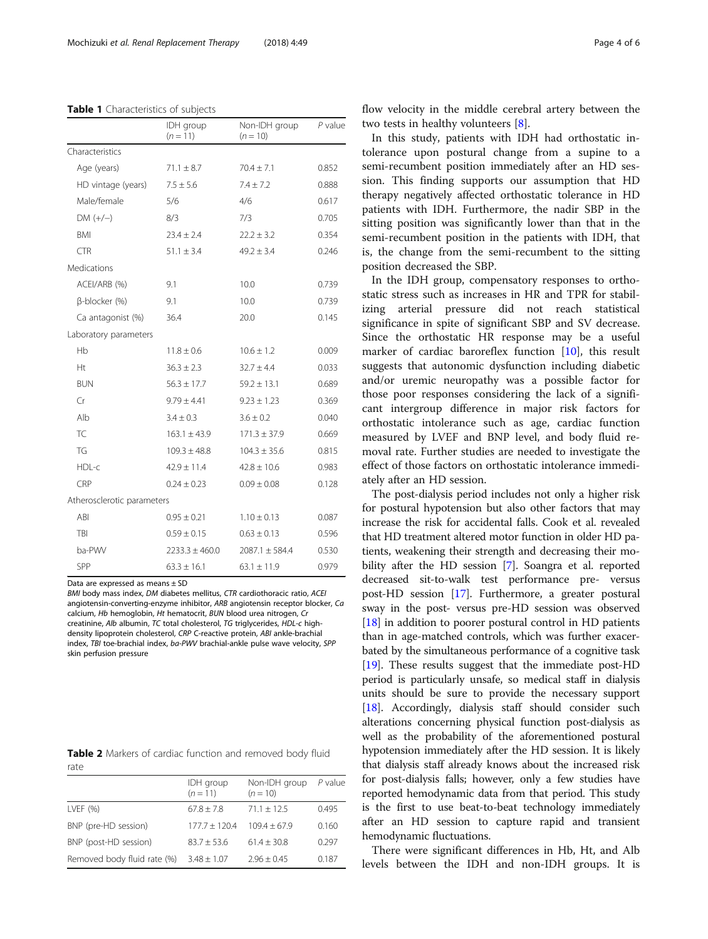<span id="page-3-0"></span>

|                            | IDH group<br>$(n = 11)$ | Non-IDH group<br>$(n = 10)$ | $P$ value |
|----------------------------|-------------------------|-----------------------------|-----------|
| Characteristics            |                         |                             |           |
| Age (years)                | $71.1 \pm 8.7$          | $70.4 \pm 7.1$              | 0.852     |
| HD vintage (years)         | $7.5 \pm 5.6$           | $7.4 \pm 7.2$               | 0.888     |
| Male/female                | 5/6                     | 4/6                         | 0.617     |
| $DM (+/-)$                 | 8/3                     | 7/3                         | 0.705     |
| <b>BMI</b>                 | $23.4 \pm 2.4$          | $22.2 \pm 3.2$              | 0.354     |
| <b>CTR</b>                 | $51.1 \pm 3.4$          | $49.2 \pm 3.4$              | 0.246     |
| Medications                |                         |                             |           |
| ACEI/ARB (%)               | 9.1                     | 10.0                        | 0.739     |
| β-blocker (%)              | 9.1                     | 10.0                        | 0.739     |
| Ca antagonist (%)          | 36.4                    | 20.0                        | 0.145     |
| Laboratory parameters      |                         |                             |           |
| Hb                         | $11.8 \pm 0.6$          | $10.6 + 1.2$                | 0.009     |
| Ht                         | $36.3 \pm 2.3$          | $32.7 \pm 4.4$              | 0.033     |
| <b>BUN</b>                 | $56.3 \pm 17.7$         | $59.2 \pm 13.1$             | 0.689     |
| Cr                         | $9.79 \pm 4.41$         | $9.23 \pm 1.23$             | 0.369     |
| Alb                        | $3.4 \pm 0.3$           | $3.6 \pm 0.2$               | 0.040     |
| TC                         | $163.1 \pm 43.9$        | $171.3 \pm 37.9$            | 0.669     |
| TG                         | $109.3 \pm 48.8$        | $104.3 \pm 35.6$            | 0.815     |
| HDL-c                      | $42.9 \pm 11.4$         | $42.8 \pm 10.6$             | 0.983     |
| CRP                        | $0.24 \pm 0.23$         | $0.09 \pm 0.08$             | 0.128     |
| Atherosclerotic parameters |                         |                             |           |
| ABI                        | $0.95 \pm 0.21$         | $1.10 \pm 0.13$             | 0.087     |
| <b>TBI</b>                 | $0.59 \pm 0.15$         | $0.63 \pm 0.13$             | 0.596     |
| ba-PWV                     | $2233.3 \pm 460.0$      | $2087.1 \pm 584.4$          | 0.530     |
| SPP                        | $63.3 \pm 16.1$         | $63.1 \pm 11.9$             | 0.979     |

Data are expressed as means ± SD

BMI body mass index, DM diabetes mellitus, CTR cardiothoracic ratio, ACEI angiotensin-converting-enzyme inhibitor, ARB angiotensin receptor blocker, Ca calcium, Hb hemoglobin, Ht hematocrit, BUN blood urea nitrogen, Cr creatinine, Alb albumin, TC total cholesterol, TG triglycerides, HDL-c highdensity lipoprotein cholesterol, CRP C-reactive protein, ABI ankle-brachial index, TBI toe-brachial index, ba-PWV brachial-ankle pulse wave velocity, SPP skin perfusion pressure

Table 2 Markers of cardiac function and removed body fluid rate

|                             | IDH group<br>$(n = 11)$ | Non-IDH group<br>$(n = 10)$ | $P$ value |
|-----------------------------|-------------------------|-----------------------------|-----------|
| $LVEF$ $(%)$                | $67.8 + 7.8$            | $71.1 + 12.5$               | 0.495     |
| BNP (pre-HD session)        | $177.7 + 120.4$         | $109.4 + 67.9$              | 0.160     |
| BNP (post-HD session)       | $83.7 + 53.6$           | $61.4 + 30.8$               | 0.297     |
| Removed body fluid rate (%) | $3.48 + 1.07$           | $2.96 + 0.45$               | 0.187     |

flow velocity in the middle cerebral artery between the two tests in healthy volunteers [\[8\]](#page-5-0).

In this study, patients with IDH had orthostatic intolerance upon postural change from a supine to a semi-recumbent position immediately after an HD session. This finding supports our assumption that HD therapy negatively affected orthostatic tolerance in HD patients with IDH. Furthermore, the nadir SBP in the sitting position was significantly lower than that in the semi-recumbent position in the patients with IDH, that is, the change from the semi-recumbent to the sitting position decreased the SBP.

In the IDH group, compensatory responses to orthostatic stress such as increases in HR and TPR for stabilizing arterial pressure did not reach statistical significance in spite of significant SBP and SV decrease. Since the orthostatic HR response may be a useful marker of cardiac baroreflex function [\[10](#page-5-0)], this result suggests that autonomic dysfunction including diabetic and/or uremic neuropathy was a possible factor for those poor responses considering the lack of a significant intergroup difference in major risk factors for orthostatic intolerance such as age, cardiac function measured by LVEF and BNP level, and body fluid removal rate. Further studies are needed to investigate the effect of those factors on orthostatic intolerance immediately after an HD session.

The post-dialysis period includes not only a higher risk for postural hypotension but also other factors that may increase the risk for accidental falls. Cook et al. revealed that HD treatment altered motor function in older HD patients, weakening their strength and decreasing their mobility after the HD session [\[7\]](#page-5-0). Soangra et al. reported decreased sit-to-walk test performance pre- versus post-HD session [[17](#page-5-0)]. Furthermore, a greater postural sway in the post- versus pre-HD session was observed [[18](#page-5-0)] in addition to poorer postural control in HD patients than in age-matched controls, which was further exacerbated by the simultaneous performance of a cognitive task [[19](#page-5-0)]. These results suggest that the immediate post-HD period is particularly unsafe, so medical staff in dialysis units should be sure to provide the necessary support [[18](#page-5-0)]. Accordingly, dialysis staff should consider such alterations concerning physical function post-dialysis as well as the probability of the aforementioned postural hypotension immediately after the HD session. It is likely that dialysis staff already knows about the increased risk for post-dialysis falls; however, only a few studies have reported hemodynamic data from that period. This study is the first to use beat-to-beat technology immediately after an HD session to capture rapid and transient hemodynamic fluctuations.

There were significant differences in Hb, Ht, and Alb levels between the IDH and non-IDH groups. It is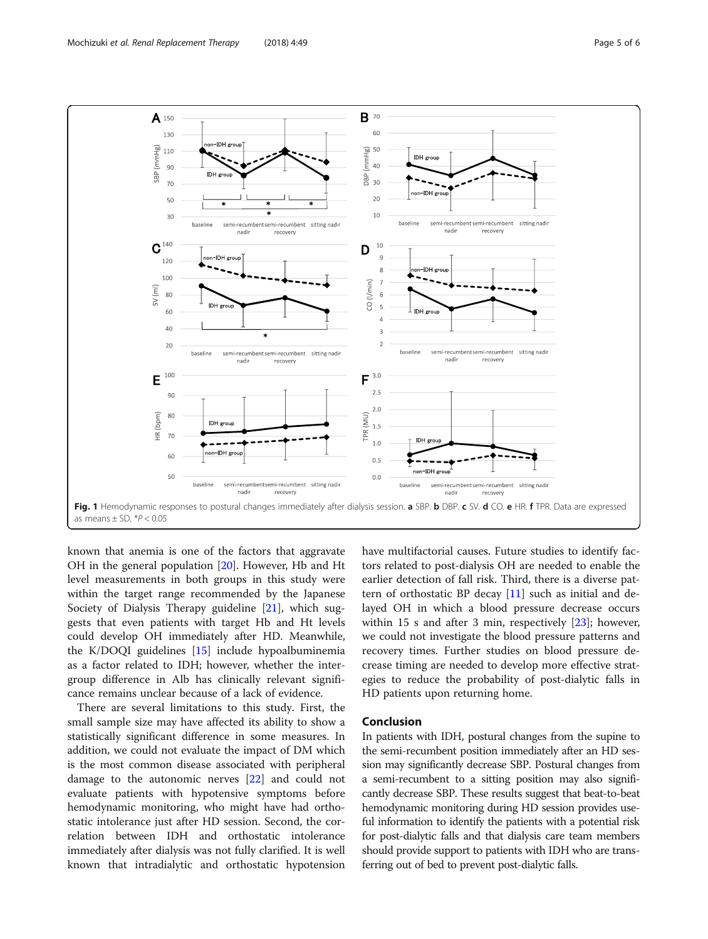<span id="page-4-0"></span>

known that anemia is one of the factors that aggravate OH in the general population [[20\]](#page-5-0). However, Hb and Ht level measurements in both groups in this study were within the target range recommended by the Japanese Society of Dialysis Therapy guideline [[21](#page-5-0)], which suggests that even patients with target Hb and Ht levels could develop OH immediately after HD. Meanwhile, the K/DOQI guidelines [[15](#page-5-0)] include hypoalbuminemia as a factor related to IDH; however, whether the intergroup difference in Alb has clinically relevant significance remains unclear because of a lack of evidence.

There are several limitations to this study. First, the small sample size may have affected its ability to show a statistically significant difference in some measures. In addition, we could not evaluate the impact of DM which is the most common disease associated with peripheral damage to the autonomic nerves [[22\]](#page-5-0) and could not evaluate patients with hypotensive symptoms before hemodynamic monitoring, who might have had orthostatic intolerance just after HD session. Second, the correlation between IDH and orthostatic intolerance immediately after dialysis was not fully clarified. It is well known that intradialytic and orthostatic hypotension have multifactorial causes. Future studies to identify factors related to post-dialysis OH are needed to enable the earlier detection of fall risk. Third, there is a diverse pattern of orthostatic BP decay [[11\]](#page-5-0) such as initial and delayed OH in which a blood pressure decrease occurs within 15 s and after 3 min, respectively  $[23]$  $[23]$  $[23]$ ; however, we could not investigate the blood pressure patterns and recovery times. Further studies on blood pressure decrease timing are needed to develop more effective strategies to reduce the probability of post-dialytic falls in HD patients upon returning home.

## Conclusion

In patients with IDH, postural changes from the supine to the semi-recumbent position immediately after an HD session may significantly decrease SBP. Postural changes from a semi-recumbent to a sitting position may also significantly decrease SBP. These results suggest that beat-to-beat hemodynamic monitoring during HD session provides useful information to identify the patients with a potential risk for post-dialytic falls and that dialysis care team members should provide support to patients with IDH who are transferring out of bed to prevent post-dialytic falls.